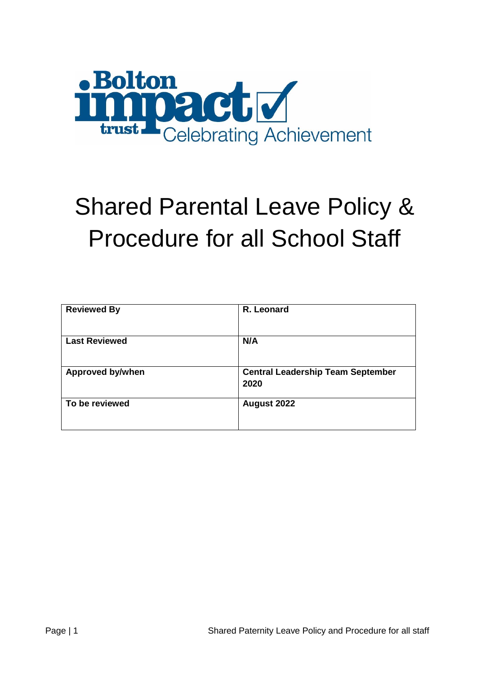

# Shared Parental Leave Policy & Procedure for all School Staff

| <b>Reviewed By</b>      | R. Leonard                                       |
|-------------------------|--------------------------------------------------|
| <b>Last Reviewed</b>    | N/A                                              |
| <b>Approved by/when</b> | <b>Central Leadership Team September</b><br>2020 |
| To be reviewed          | August 2022                                      |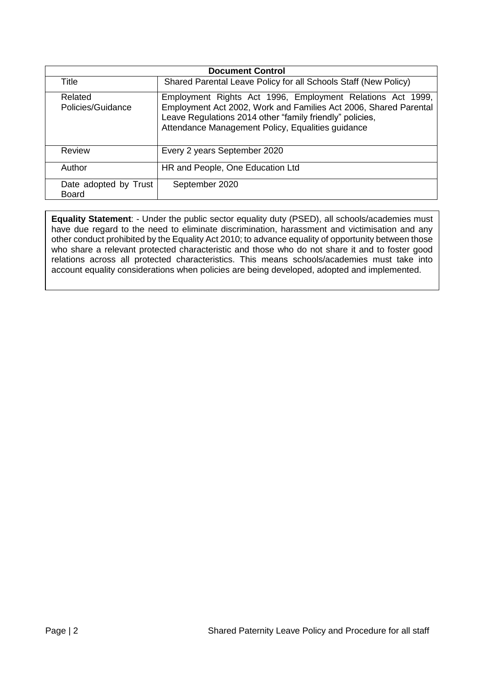| <b>Document Control</b>               |                                                                                                                                                                                                                                                 |  |
|---------------------------------------|-------------------------------------------------------------------------------------------------------------------------------------------------------------------------------------------------------------------------------------------------|--|
| Title                                 | Shared Parental Leave Policy for all Schools Staff (New Policy)                                                                                                                                                                                 |  |
| Related<br>Policies/Guidance          | Employment Rights Act 1996, Employment Relations Act 1999,<br>Employment Act 2002, Work and Families Act 2006, Shared Parental<br>Leave Regulations 2014 other "family friendly" policies,<br>Attendance Management Policy, Equalities guidance |  |
| Review                                | Every 2 years September 2020                                                                                                                                                                                                                    |  |
| Author                                | HR and People, One Education Ltd                                                                                                                                                                                                                |  |
| Date adopted by Trust<br><b>Board</b> | September 2020                                                                                                                                                                                                                                  |  |

**Equality Statement**: - Under the public sector equality duty (PSED), all schools/academies must have due regard to the need to eliminate discrimination, harassment and victimisation and any other conduct prohibited by the Equality Act 2010; to advance equality of opportunity between those who share a relevant protected characteristic and those who do not share it and to foster good relations across all protected characteristics. This means schools/academies must take into account equality considerations when policies are being developed, adopted and implemented.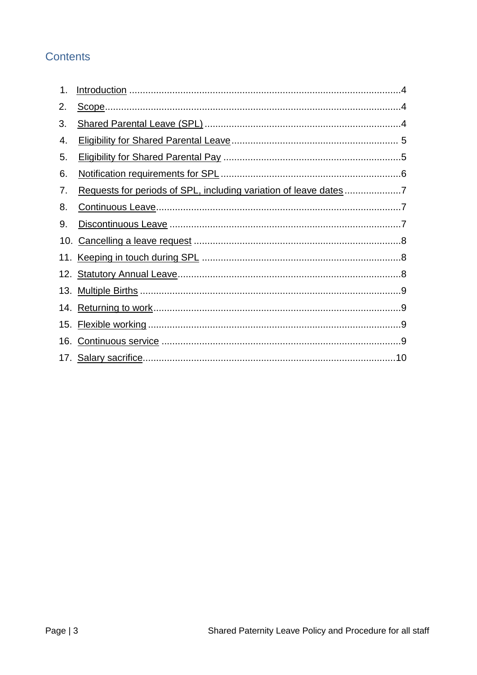## **Contents**

| 1.  |  |
|-----|--|
| 2.  |  |
| 3.  |  |
| 4.  |  |
| 5.  |  |
| 6.  |  |
| 7.  |  |
| 8.  |  |
| 9.  |  |
| 10. |  |
|     |  |
|     |  |
|     |  |
|     |  |
|     |  |
|     |  |
|     |  |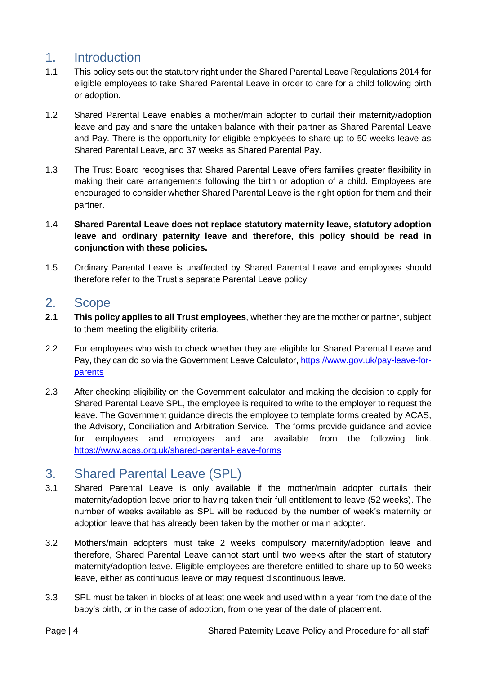## <span id="page-3-0"></span>1. Introduction

- 1.1 This policy sets out the statutory right under the Shared Parental Leave Regulations 2014 for eligible employees to take Shared Parental Leave in order to care for a child following birth or adoption.
- 1.2 Shared Parental Leave enables a mother/main adopter to curtail their maternity/adoption leave and pay and share the untaken balance with their partner as Shared Parental Leave and Pay. There is the opportunity for eligible employees to share up to 50 weeks leave as Shared Parental Leave, and 37 weeks as Shared Parental Pay.
- 1.3 The Trust Board recognises that Shared Parental Leave offers families greater flexibility in making their care arrangements following the birth or adoption of a child. Employees are encouraged to consider whether Shared Parental Leave is the right option for them and their partner.
- 1.4 **Shared Parental Leave does not replace statutory maternity leave, statutory adoption leave and ordinary paternity leave and therefore, this policy should be read in conjunction with these policies.**
- 1.5 Ordinary Parental Leave is unaffected by Shared Parental Leave and employees should therefore refer to the Trust's separate Parental Leave policy.

#### <span id="page-3-1"></span>2. Scope

- **2.1 This policy applies to all Trust employees**, whether they are the mother or partner, subject to them meeting the eligibility criteria.
- 2.2 For employees who wish to check whether they are eligible for Shared Parental Leave and Pay, they can do so via the Government Leave Calculator, [https://www.gov.uk/pay-leave-for](https://www.gov.uk/pay-leave-for-parents)[parents](https://www.gov.uk/pay-leave-for-parents)
- 2.3 After checking eligibility on the Government calculator and making the decision to apply for Shared Parental Leave SPL, the employee is required to write to the employer to request the leave. The Government guidance directs the employee to template forms created by ACAS, the Advisory, Conciliation and Arbitration Service. The forms provide guidance and advice for employees and employers and are available from the following link. <https://www.acas.org.uk/shared-parental-leave-forms>

## <span id="page-3-2"></span>3. Shared Parental Leave (SPL)

- 3.1 Shared Parental Leave is only available if the mother/main adopter curtails their maternity/adoption leave prior to having taken their full entitlement to leave (52 weeks). The number of weeks available as SPL will be reduced by the number of week's maternity or adoption leave that has already been taken by the mother or main adopter.
- 3.2 Mothers/main adopters must take 2 weeks compulsory maternity/adoption leave and therefore, Shared Parental Leave cannot start until two weeks after the start of statutory maternity/adoption leave. Eligible employees are therefore entitled to share up to 50 weeks leave, either as continuous leave or may request discontinuous leave.
- 3.3 SPL must be taken in blocks of at least one week and used within a year from the date of the baby's birth, or in the case of adoption, from one year of the date of placement.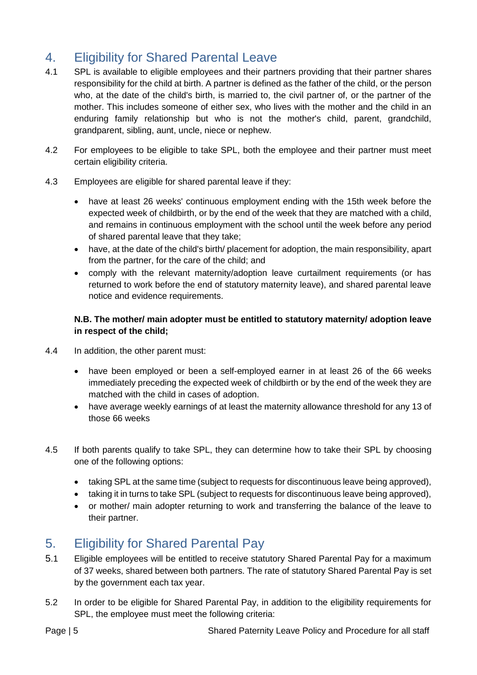# <span id="page-4-0"></span>4. Eligibility for Shared Parental Leave

- 4.1 SPL is available to eligible employees and their partners providing that their partner shares responsibility for the child at birth. A partner is defined as the father of the child, or the person who, at the date of the child's birth, is married to, the civil partner of, or the partner of the mother. This includes someone of either sex, who lives with the mother and the child in an enduring family relationship but who is not the mother's child, parent, grandchild, grandparent, sibling, aunt, uncle, niece or nephew.
- 4.2 For employees to be eligible to take SPL, both the employee and their partner must meet certain eligibility criteria.
- 4.3 Employees are eligible for shared parental leave if they:
	- have at least 26 weeks' continuous employment ending with the 15th week before the expected week of childbirth, or by the end of the week that they are matched with a child, and remains in continuous employment with the school until the week before any period of shared parental leave that they take;
	- have, at the date of the child's birth/ placement for adoption, the main responsibility, apart from the partner, for the care of the child; and
	- comply with the relevant maternity/adoption leave curtailment requirements (or has returned to work before the end of statutory maternity leave), and shared parental leave notice and evidence requirements.

#### **N.B. The mother/ main adopter must be entitled to statutory maternity/ adoption leave in respect of the child;**

- 4.4 In addition, the other parent must:
	- have been employed or been a self-employed earner in at least 26 of the 66 weeks immediately preceding the expected week of childbirth or by the end of the week they are matched with the child in cases of adoption.
	- have average weekly earnings of at least the maternity allowance threshold for any 13 of those 66 weeks
- 4.5 If both parents qualify to take SPL, they can determine how to take their SPL by choosing one of the following options:
	- taking SPL at the same time (subject to requests for discontinuous leave being approved),
	- taking it in turns to take SPL (subject to requests for discontinuous leave being approved),
	- or mother/ main adopter returning to work and transferring the balance of the leave to their partner.

# <span id="page-4-1"></span>5. Eligibility for Shared Parental Pay

- 5.1 Eligible employees will be entitled to receive statutory Shared Parental Pay for a maximum of 37 weeks, shared between both partners. The rate of statutory Shared Parental Pay is set by the government each tax year.
- 5.2 In order to be eligible for Shared Parental Pay, in addition to the eligibility requirements for SPL, the employee must meet the following criteria: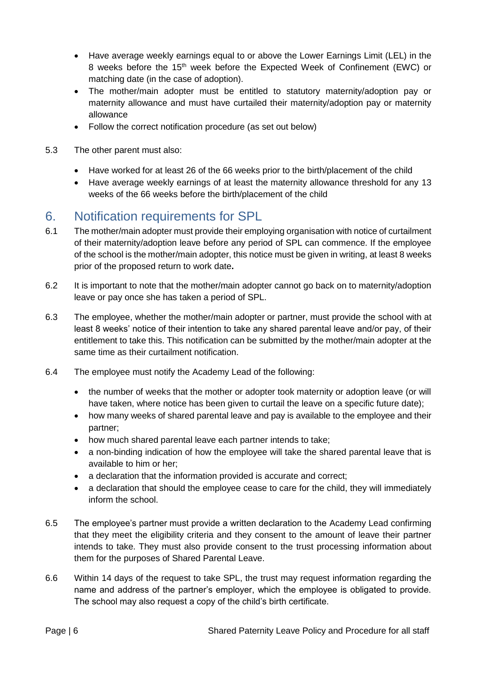- Have average weekly earnings equal to or above the Lower Earnings Limit (LEL) in the 8 weeks before the 15<sup>th</sup> week before the Expected Week of Confinement (EWC) or matching date (in the case of adoption).
- The mother/main adopter must be entitled to statutory maternity/adoption pay or maternity allowance and must have curtailed their maternity/adoption pay or maternity allowance
- Follow the correct notification procedure (as set out below)
- 5.3 The other parent must also:
	- Have worked for at least 26 of the 66 weeks prior to the birth/placement of the child
	- Have average weekly earnings of at least the maternity allowance threshold for any 13 weeks of the 66 weeks before the birth/placement of the child

## <span id="page-5-0"></span>6. Notification requirements for SPL

- 6.1 The mother/main adopter must provide their employing organisation with notice of curtailment of their maternity/adoption leave before any period of SPL can commence. If the employee of the school is the mother/main adopter, this notice must be given in writing, at least 8 weeks prior of the proposed return to work date**.**
- 6.2 It is important to note that the mother/main adopter cannot go back on to maternity/adoption leave or pay once she has taken a period of SPL.
- 6.3 The employee, whether the mother/main adopter or partner, must provide the school with at least 8 weeks' notice of their intention to take any shared parental leave and/or pay, of their entitlement to take this. This notification can be submitted by the mother/main adopter at the same time as their curtailment notification.
- 6.4 The employee must notify the Academy Lead of the following:
	- the number of weeks that the mother or adopter took maternity or adoption leave (or will have taken, where notice has been given to curtail the leave on a specific future date);
	- how many weeks of shared parental leave and pay is available to the employee and their partner;
	- how much shared parental leave each partner intends to take;
	- a non-binding indication of how the employee will take the shared parental leave that is available to him or her;
	- a declaration that the information provided is accurate and correct;
	- a declaration that should the employee cease to care for the child, they will immediately inform the school.
- 6.5 The employee's partner must provide a written declaration to the Academy Lead confirming that they meet the eligibility criteria and they consent to the amount of leave their partner intends to take. They must also provide consent to the trust processing information about them for the purposes of Shared Parental Leave.
- 6.6 Within 14 days of the request to take SPL, the trust may request information regarding the name and address of the partner's employer, which the employee is obligated to provide. The school may also request a copy of the child's birth certificate.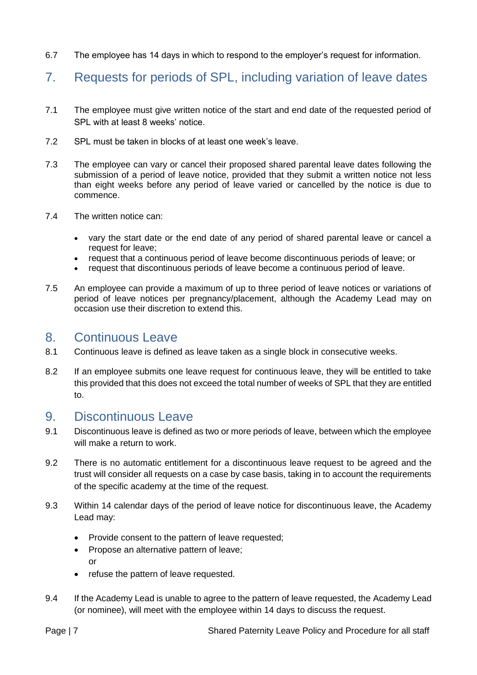6.7 The employee has 14 days in which to respond to the employer's request for information.

## <span id="page-6-0"></span>7. Requests for periods of SPL, including variation of leave dates

- 7.1 The employee must give written notice of the start and end date of the requested period of SPL with at least 8 weeks' notice.
- 7.2 SPL must be taken in blocks of at least one week's leave.
- 7.3 The employee can vary or cancel their proposed shared parental leave dates following the submission of a period of leave notice, provided that they submit a written notice not less than eight weeks before any period of leave varied or cancelled by the notice is due to commence.
- 7.4 The written notice can:
	- vary the start date or the end date of any period of shared parental leave or cancel a request for leave;
	- request that a continuous period of leave become discontinuous periods of leave; or
	- request that discontinuous periods of leave become a continuous period of leave.
- 7.5 An employee can provide a maximum of up to three period of leave notices or variations of period of leave notices per pregnancy/placement, although the Academy Lead may on occasion use their discretion to extend this.

#### <span id="page-6-1"></span>8. Continuous Leave

- 8.1 Continuous leave is defined as leave taken as a single block in consecutive weeks.
- 8.2 If an employee submits one leave request for continuous leave, they will be entitled to take this provided that this does not exceed the total number of weeks of SPL that they are entitled to.

#### <span id="page-6-2"></span>9. Discontinuous Leave

- 9.1 Discontinuous leave is defined as two or more periods of leave, between which the employee will make a return to work.
- 9.2 There is no automatic entitlement for a discontinuous leave request to be agreed and the trust will consider all requests on a case by case basis, taking in to account the requirements of the specific academy at the time of the request.
- 9.3 Within 14 calendar days of the period of leave notice for discontinuous leave, the Academy Lead may:
	- Provide consent to the pattern of leave requested;
	- Propose an alternative pattern of leave; or
	- refuse the pattern of leave requested.
- 9.4 If the Academy Lead is unable to agree to the pattern of leave requested, the Academy Lead (or nominee), will meet with the employee within 14 days to discuss the request.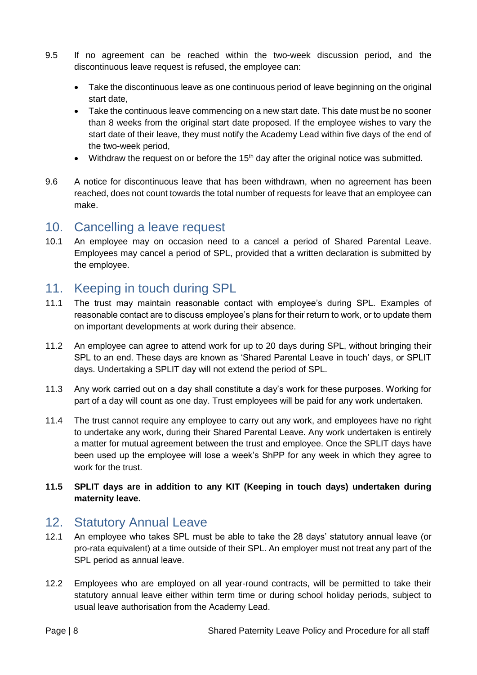- 9.5 If no agreement can be reached within the two-week discussion period, and the discontinuous leave request is refused, the employee can:
	- Take the discontinuous leave as one continuous period of leave beginning on the original start date,
	- Take the continuous leave commencing on a new start date. This date must be no sooner than 8 weeks from the original start date proposed. If the employee wishes to vary the start date of their leave, they must notify the Academy Lead within five days of the end of the two-week period,
	- Withdraw the request on or before the 15<sup>th</sup> day after the original notice was submitted.
- 9.6 A notice for discontinuous leave that has been withdrawn, when no agreement has been reached, does not count towards the total number of requests for leave that an employee can make.

#### <span id="page-7-0"></span>10. Cancelling a leave request

10.1 An employee may on occasion need to a cancel a period of Shared Parental Leave. Employees may cancel a period of SPL, provided that a written declaration is submitted by the employee.

## <span id="page-7-1"></span>11. Keeping in touch during SPL

- 11.1 The trust may maintain reasonable contact with employee's during SPL. Examples of reasonable contact are to discuss employee's plans for their return to work, or to update them on important developments at work during their absence.
- 11.2 An employee can agree to attend work for up to 20 days during SPL, without bringing their SPL to an end. These days are known as 'Shared Parental Leave in touch' days, or SPLIT days. Undertaking a SPLIT day will not extend the period of SPL.
- 11.3 Any work carried out on a day shall constitute a day's work for these purposes. Working for part of a day will count as one day. Trust employees will be paid for any work undertaken.
- 11.4 The trust cannot require any employee to carry out any work, and employees have no right to undertake any work, during their Shared Parental Leave. Any work undertaken is entirely a matter for mutual agreement between the trust and employee. Once the SPLIT days have been used up the employee will lose a week's ShPP for any week in which they agree to work for the trust.

#### **11.5 SPLIT days are in addition to any KIT (Keeping in touch days) undertaken during maternity leave.**

#### <span id="page-7-2"></span>12. Statutory Annual Leave

- 12.1 An employee who takes SPL must be able to take the 28 days' statutory annual leave (or pro-rata equivalent) at a time outside of their SPL. An employer must not treat any part of the SPL period as annual leave.
- 12.2 Employees who are employed on all year-round contracts, will be permitted to take their statutory annual leave either within term time or during school holiday periods, subject to usual leave authorisation from the Academy Lead.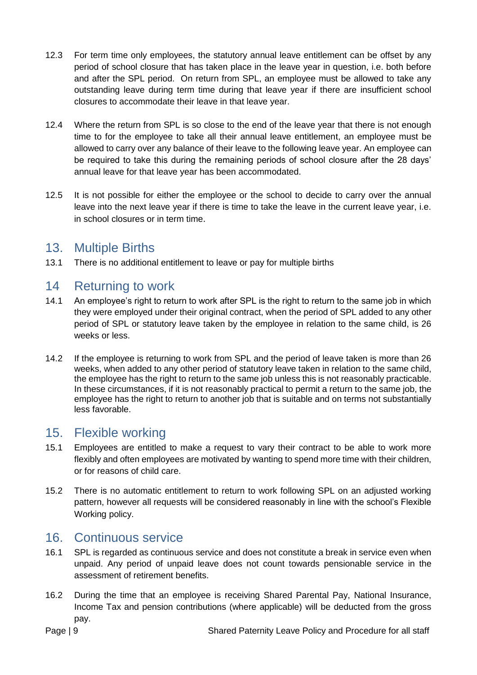- 12.3 For term time only employees, the statutory annual leave entitlement can be offset by any period of school closure that has taken place in the leave year in question, i.e. both before and after the SPL period. On return from SPL, an employee must be allowed to take any outstanding leave during term time during that leave year if there are insufficient school closures to accommodate their leave in that leave year.
- 12.4 Where the return from SPL is so close to the end of the leave year that there is not enough time to for the employee to take all their annual leave entitlement, an employee must be allowed to carry over any balance of their leave to the following leave year. An employee can be required to take this during the remaining periods of school closure after the 28 days' annual leave for that leave year has been accommodated.
- 12.5 It is not possible for either the employee or the school to decide to carry over the annual leave into the next leave year if there is time to take the leave in the current leave year, i.e. in school closures or in term time.

## <span id="page-8-0"></span>13. Multiple Births

13.1 There is no additional entitlement to leave or pay for multiple births

## <span id="page-8-1"></span>14 Returning to work

- 14.1 An employee's right to return to work after SPL is the right to return to the same job in which they were employed under their original contract, when the period of SPL added to any other period of SPL or statutory leave taken by the employee in relation to the same child, is 26 weeks or less.
- 14.2 If the employee is returning to work from SPL and the period of leave taken is more than 26 weeks, when added to any other period of statutory leave taken in relation to the same child, the employee has the right to return to the same job unless this is not reasonably practicable. In these circumstances, if it is not reasonably practical to permit a return to the same job, the employee has the right to return to another job that is suitable and on terms not substantially less favorable.

## <span id="page-8-2"></span>15. Flexible working

- 15.1 Employees are entitled to make a request to vary their contract to be able to work more flexibly and often employees are motivated by wanting to spend more time with their children, or for reasons of child care.
- 15.2 There is no automatic entitlement to return to work following SPL on an adjusted working pattern, however all requests will be considered reasonably in line with the school's Flexible Working policy.

## <span id="page-8-3"></span>16. Continuous service

- 16.1 SPL is regarded as continuous service and does not constitute a break in service even when unpaid. Any period of unpaid leave does not count towards pensionable service in the assessment of retirement benefits.
- 16.2 During the time that an employee is receiving Shared Parental Pay, National Insurance, Income Tax and pension contributions (where applicable) will be deducted from the gross pay.